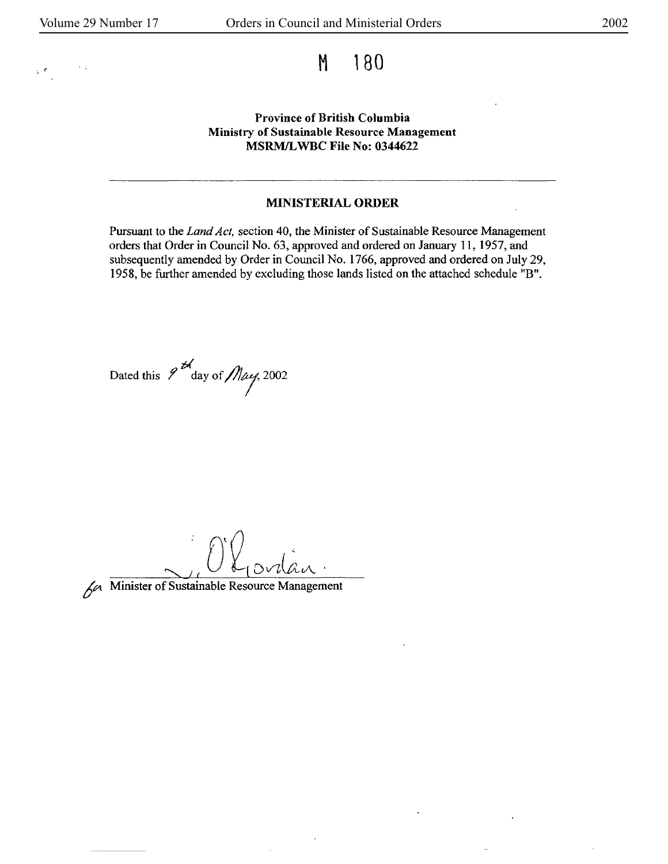# $\mathsf{M}$  and  $\mathsf{M}$  and  $\mathsf{M}$  and  $\mathsf{M}$  and  $\mathsf{M}$  and  $\mathsf{M}$  and  $\mathsf{M}$  and  $\mathsf{M}$  and  $\mathsf{M}$  and  $\mathsf{M}$  and  $\mathsf{M}$  and  $\mathsf{M}$  and  $\mathsf{M}$  and  $\mathsf{M}$  and  $\mathsf{M}$  and  $\mathsf{M}$  and  $\mathsf{M}$  and

#### **Province of British Columbia Ministry of Sustainable Resource Management MSRM/L WBC File No: 0344622**

#### **MINISTERIAL ORDER**

Pursuant to the *Land Act,* section 40, the Minister of Sustainable Resource Management orders that Order in Council No. 63, approved and ordered on January 11, 1957, and subsequently amended by Order in Council No. 1766, approved and ordered on July 29, 1958, be further amended by excluding those lands listed on the attached schedule "B".

Dated this  $\frac{d}{d}$  day of *May*, 2002



~ Minister of Sustainable Resource Management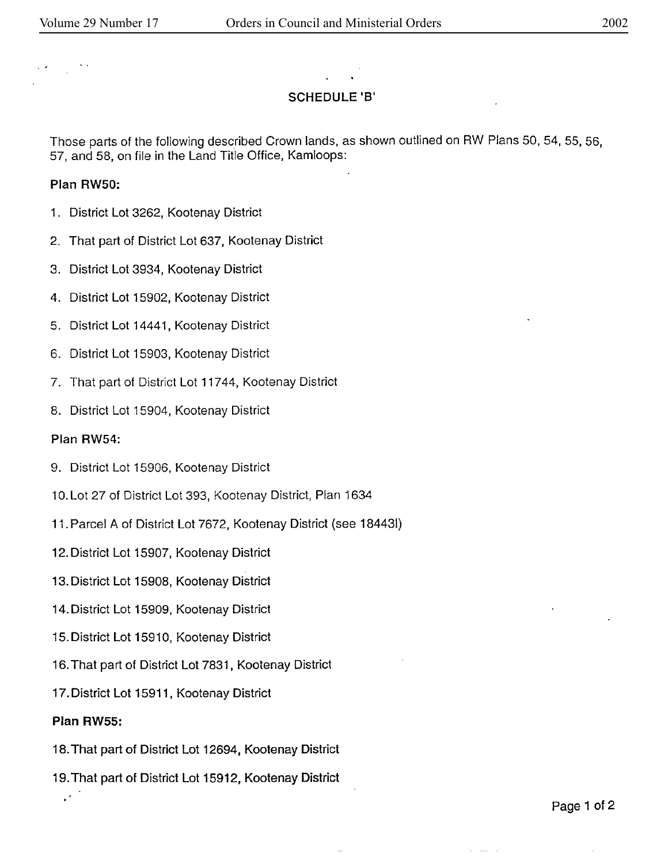## **SCHEDULE 18'**

Those parts of the following described Crown lands, as shown outlined on RW Plans 50, 54, 55, 56. 57, and 58, on file in the Land Title Office, Kamloops:

#### **Plan RWSO:**

- 1. District Lot 3262, Kootenay District
- 2. That part of District Lot 637, Kootenay District
- 3. District Lot 3934, Kootenay District
- 4. District Lot 15902, Kootenay District
- 5. District Lot 14441, Kootenay District
- 6. District Lot 15903, Kootenay District
- 7. That part of District Lot 117 44, Kootenay District
- 8. District Lot 15904, Kootenay District

#### **Plan RW54:**

- 9. District Lot 15906, Kootenay District
- 10. Lot 27 of District Lot 393, Kootenay District, Plan 1634
- 11. Parcel A of District Lot 7672, Kootenay District (see 184431)
- 12. District Lot 15907, Kootenay District
- 13. District Lot 15908, Kootenay District
- 14. District Lot 15909, Kootenay District
- 15. District Lot 15910, Kootenay District
- 16. That part of District Lot 7831, Kootenay District
- 17. District Lot 15911, Kootenay District

#### **Plan RW55:**

 $\overline{\phantom{a}}$  .

- 18. That part of District Lot 12694, Kootenay District
- 19. That part of District Lot 15912, Kootenay District